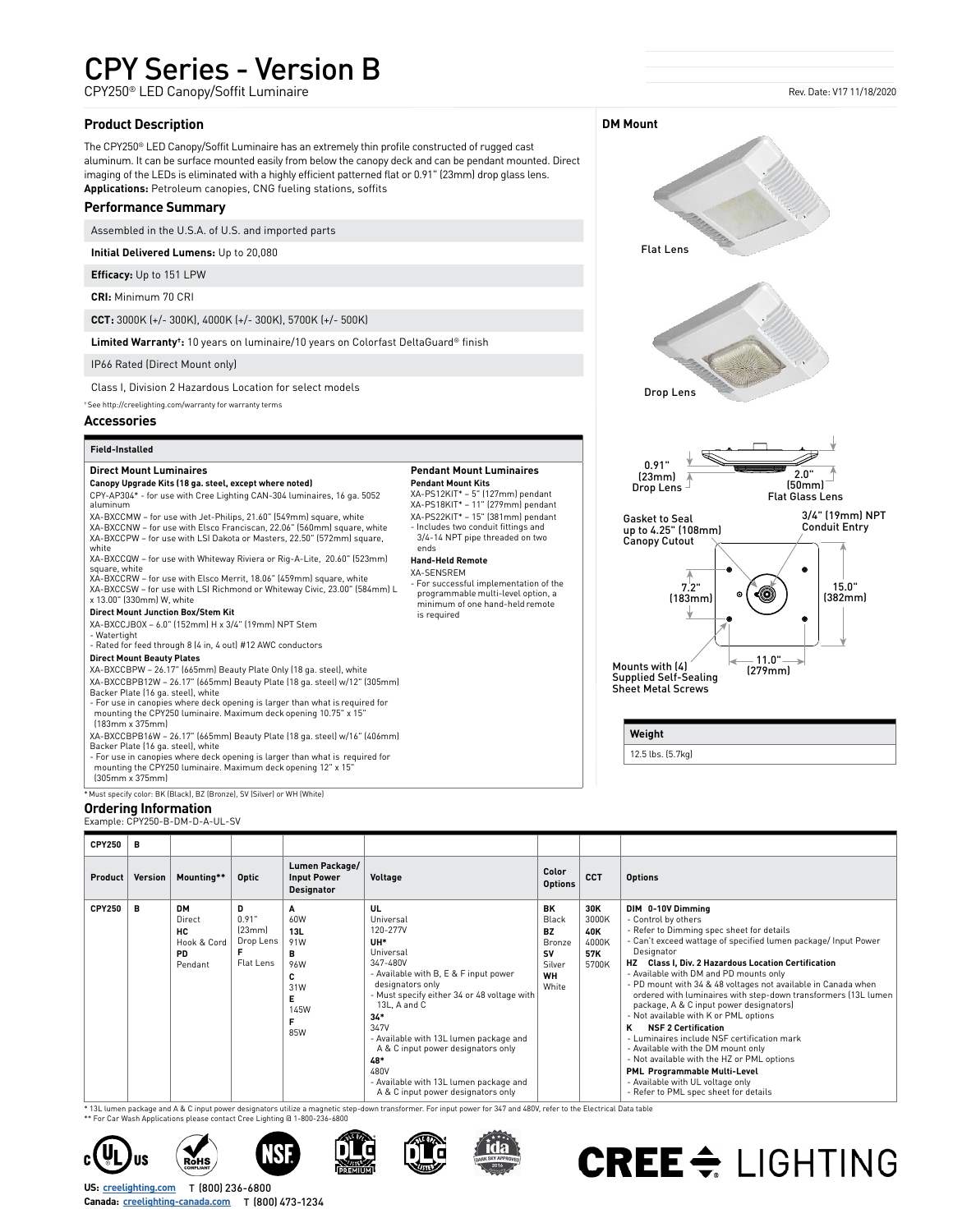## CPY Series - Version B

CPY250® LED Canopy/Soffit Luminaire

#### **Product Description**

The CPY250® LED Canopy/Soffit Luminaire has an extremely thin profile constructed of rugged cast aluminum. It can be surface mounted easily from below the canopy deck and can be pendant mounted. Direct imaging of the LEDs is eliminated with a highly efficient patterned flat or 0.91" (23mm) drop glass lens. **Applications:** Petroleum canopies, CNG fueling stations, soffits

#### **Performance Summary**

Assembled in the U.S.A. of U.S. and imported parts

**Initial Delivered Lumens:** Up to 20,080

**Efficacy:** Up to 151 LPW

**CRI:** Minimum 70 CRI

**CCT:** 3000K (+/- 300K), 4000K (+/- 300K), 5700K (+/- 500K)

**Limited Warranty†:** 10 years on luminaire/10 years on Colorfast DeltaGuard® finish

IP66 Rated (Direct Mount only)

Class I, Division 2 Hazardous Location for select models

† See [http://creelighting.com/warranty](https://www.creelighting.com/warranty) for warranty terms

#### **Accessories**

### **Field-Installed**

**Direct Mount Luminaires**

#### **Canopy Upgrade Kits (18 ga. steel, except where noted)** CPY-AP304\* - for use with Cree Lighting CAN-304 luminaires, 16 ga. 5052 aluminum

XA-BXCCMW – for use with Jet-Philips, 21.60" (549mm) square, white XA-BXCCNW – for use with Elsco Franciscan, 22.06" (560mm) square, white XA-BXCCPW – for use with LSI Dakota or Masters, 22.50" (572mm) square,

white XA-BXCCQW – for use with Whiteway Riviera or Rig-A-Lite, 20.60" (523mm)

square, white XA-BXCCRW – for use with Elsco Merrit, 18.06" (459mm) square, white

XA-BXCCSW – for use with LSI Richmond or Whiteway Civic, 23.00" (584mm) L x 13.00" (330mm) W, white

#### **Direct Mount Junction Box/Stem Kit**

XA-BXCCJBOX – 6.0" (152mm) H x 3/4" (19mm) NPT Stem

- Watertight - Rated for feed through 8 (4 in, 4 out) #12 AWC conductors

#### **Direct Mount Beauty Plates**

XA-BXCCBPW – 26.17" (665mm) Beauty Plate Only (18 ga. steel), white XA-BXCCBPB12W – 26.17" (665mm) Beauty Plate (18 ga. steel) w/12" (305mm)

Backer Plate (16 ga. steel), white - For use in canopies where deck opening is larger than what is required for mounting the CPY250 luminaire. Maximum deck opening 10.75" x 15"

 (183mm x 375mm) XA-BXCCBPB16W – 26.17" (665mm) Beauty Plate (18 ga. steel) w/16" (406mm)

Backer Plate (16 ga. steel), white

- For use in canopies where deck opening is larger than what is required for mounting the CPY250 luminaire. Maximum deck opening 12" x 15"

(305mm x 375mm)

\* Must specify color: BK (Black), BZ (Bronze), SV (Silver) or WH (White)

#### **Ordering Information**

Example: CPY250-B-DM-D-A-UL-SV

### **Pendant Mount Luminaires**

**Pendant Mount Kits**<br>XA-PS12KIT\* – 5" (127mm) pendant<br>XA-PS18KIT\* – 11" (279mm) pendant XA-PS22KIT\* – 15" (381mm) pendant - Includes two conduit fittings and

 3/4-14 NPT pipe threaded on two ends

#### **Hand-Held Remote** XA-SENSREM

- For successful implementation of the programmable multi-level option, a minimum of one hand-held remote is required



Mounts with (4) Supplied Self-Sealing Sheet Metal Screws — 11.0" —<br>(279mm)

**Weight**

**DM Mount**

12.5 lbs. (5.7kg)

| <b>CPY250</b> | в       |                                                            |                                                |                                                               |                                                                                                                                                                                                                                                                                                                                                                                         |                                                                                 |                                              |                                                                                                                                                                                                                                                                                                                                                                                                                                                                                                                                                                                                                                                                                                                                                                                      |
|---------------|---------|------------------------------------------------------------|------------------------------------------------|---------------------------------------------------------------|-----------------------------------------------------------------------------------------------------------------------------------------------------------------------------------------------------------------------------------------------------------------------------------------------------------------------------------------------------------------------------------------|---------------------------------------------------------------------------------|----------------------------------------------|--------------------------------------------------------------------------------------------------------------------------------------------------------------------------------------------------------------------------------------------------------------------------------------------------------------------------------------------------------------------------------------------------------------------------------------------------------------------------------------------------------------------------------------------------------------------------------------------------------------------------------------------------------------------------------------------------------------------------------------------------------------------------------------|
| Product       | Version | Mounting**                                                 | <b>Optic</b>                                   | Lumen Package/<br><b>Input Power</b><br><b>Designator</b>     | Voltage                                                                                                                                                                                                                                                                                                                                                                                 | Color<br><b>Options</b>                                                         | <b>CCT</b>                                   | <b>Options</b>                                                                                                                                                                                                                                                                                                                                                                                                                                                                                                                                                                                                                                                                                                                                                                       |
| <b>CPY250</b> | в       | <b>DM</b><br>Direct<br>нc<br>Hook & Cord<br>PD.<br>Pendant | D<br>0.91"<br>[23mm]<br>Drop Lens<br>Flat Lens | A<br>60W<br>13L<br>91W<br>в<br>96W<br>c<br>31W<br>145W<br>85W | UL<br>Universal<br>120-277V<br>UH*<br>Universal<br>347-480V<br>- Available with B, E & F input power<br>designators only<br>- Must specify either 34 or 48 voltage with<br>13L. A and C<br>$34*$<br>347V<br>- Available with 13L lumen package and<br>A & C input power designators only<br>48*<br>480V<br>- Available with 13L lumen package and<br>A & C input power designators only | BK<br>Black<br><b>BZ</b><br><b>Bronze</b><br>SV<br>Silver<br><b>WH</b><br>White | 30K<br>3000K<br>40K<br>4000K<br>57K<br>5700K | DIM 0-10V Dimming<br>- Control by others<br>- Refer to Dimming spec sheet for details<br>- Can't exceed wattage of specified lumen package/ Input Power<br>Designator<br><b>Class I. Div. 2 Hazardous Location Certification</b><br>- Available with DM and PD mounts only<br>- PD mount with 34 & 48 voltages not available in Canada when<br>ordered with luminaires with step-down transformers (13L lumen<br>package, A & C input power designators)<br>- Not available with K or PML options<br><b>NSF 2 Certification</b><br>κ<br>- Luminaires include NSF certification mark<br>- Available with the DM mount only<br>- Not available with the HZ or PML options<br>PML Programmable Multi-Level<br>- Available with UL voltage only<br>- Refer to PML spec sheet for details |

\* 13L lumen package and A & C input power designators utilize a magnetic step-down transformer. For input power for 347 and 480V, refer to the Electrical Data table

\*\* For Car Wash Applications please contact Cree Lighting @ 1-800-236-6800











# CREE  $\Leftarrow$  LIGHTING

T (800) 236-6800 **US: [creelighting.com](https://www.creelighting.com)** Canada: **[creelighting-canada.com](https://www.creelighting-canada.com)** T (800) 473-1234

#### Rev. Date: V17 11/18/2020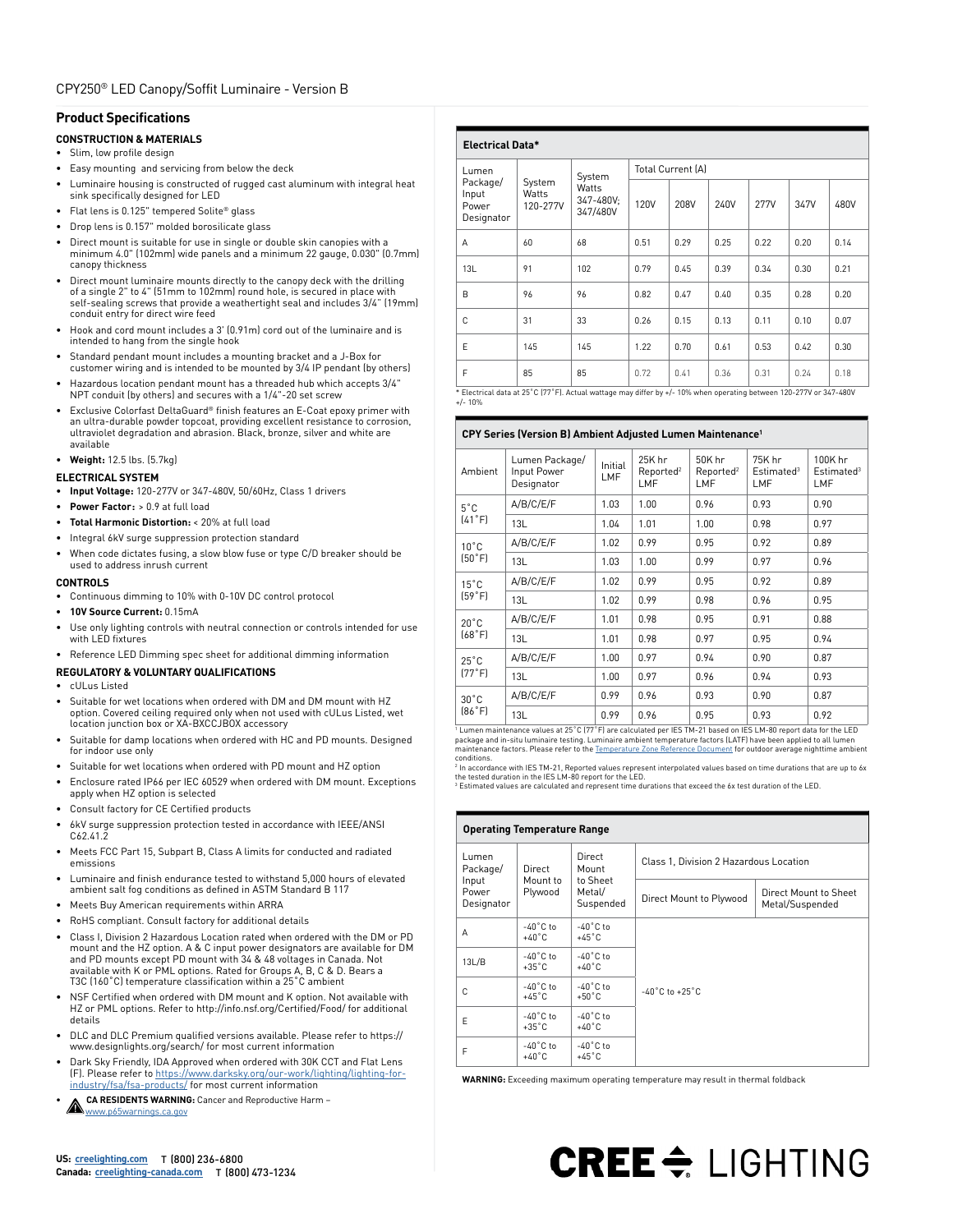#### **Product Specifications**

#### **CONSTRUCTION & MATERIALS**

- Slim, low profile design
- Easy mounting and servicing from below the deck
- Luminaire housing is constructed of rugged cast aluminum with integral heat sink specifically designed for LED
- Flat lens is 0.125" tempered Solite® glass
- Drop lens is 0.157" molded borosilicate glass
- Direct mount is suitable for use in single or double skin canopies with a minimum 4.0" (102mm) wide panels and a minimum 22 gauge, 0.030" (0.7mm) canopy thickness
- Direct mount luminaire mounts directly to the canopy deck with the drilling of a single 2" to 4" (51mm to 102mm) round hole, is secured in place with self-sealing screws that provide a weathertight seal and includes 3/4" (19mm) conduit entry for direct wire feed
- Hook and cord mount includes a 3' (0.91m) cord out of the luminaire and is intended to hang from the single hook
- Standard pendant mount includes a mounting bracket and a J-Box for customer wiring and is intended to be mounted by 3/4 IP pendant (by others)
- Hazardous location pendant mount has a threaded hub which accepts 3/4" NPT conduit (by others) and secures with a 1/4"-20 set screw
- Exclusive Colorfast DeltaGuard® finish features an E-Coat epoxy primer with an ultra-durable powder topcoat, providing excellent resistance to corrosion, ultraviolet degradation and abrasion. Black, bronze, silver and white are available
- **Weight:** 12.5 lbs. (5.7kg)

#### **ELECTRICAL SYSTEM**

- **Input Voltage:** 120-277V or 347-480V, 50/60Hz, Class 1 drivers
- **Power Factor:** > 0.9 at full load
- **Total Harmonic Distortion:** < 20% at full load
- Integral 6kV surge suppression protection standard
- When code dictates fusing, a slow blow fuse or type C/D breaker should be used to address inrush current

#### **CONTROLS**

- Continuous dimming to 10% with 0-10V DC control protocol
- **• 10V Source Current:** 0.15mA • Use only lighting controls with neutral connection or controls intended for use
- with LED fixtures
- Reference [LED Dimming spec sheet](https://www.creelink.com/exLink.asp?36618400OW67Z45I51708400) for additional dimming information

#### **REGULATORY & VOLUNTARY QUALIFICATIONS**

- cULus Listed
- Suitable for wet locations when ordered with DM and DM mount with HZ option. Covered ceiling required only when not used with cULus Listed, wet location junction box or XA-BXCCJBOX accessory
- Suitable for damp locations when ordered with HC and PD mounts. Designed for indoor use only
- Suitable for wet locations when ordered with PD mount and HZ option
- Enclosure rated IP66 per IEC 60529 when ordered with DM mount. Exceptions apply when HZ option is selected
- Consult factory for CE Certified products
- 6kV surge suppression protection tested in accordance with IEEE/ANSI C<sub>62</sub>.41.2
- Meets FCC Part 15, Subpart B, Class A limits for conducted and radiated emissions
- Luminaire and finish endurance tested to withstand 5,000 hours of elevated ambient salt fog conditions as defined in ASTM Standard B 117
- Meets Buy American requirements within ARRA
- RoHS compliant. Consult factory for additional details
- Class I, Division 2 Hazardous Location rated when ordered with the DM or PD mount and the HZ option. A & C input power designators are available for DM and PD mounts except PD mount with 34 & 48 voltages in Canada. Not available with K or PML options. Rated for Groups A, B, C & D. Bears a T3C (160˚C) temperature classification within a 25˚C ambient
- NSF Certified when ordered with DM mount and K option. Not available with HZ or PML options. Refer to http://info.nsf.org/Certified/Food/ for additional details
- DLC and DLC Premium qualified versions available. Please refer to https:// www.designlights.org/search/ for most current information
- Dark Sky Friendly, IDA Approved when ordered with 30K CCT and Flat Lens (F). Please refer to [https://www.darksky.org/our-work/lighting/lighting-for](https://www.darksky.org/our-work/lighting/lighting-for-industry/fsa/fsa-products/)[industry/fsa/fsa-products/](https://www.darksky.org/our-work/lighting/lighting-for-industry/fsa/fsa-products/) for most current information
- **CA RESIDENTS WARNING:** Cancer and Reproductive Harm CA RESIDEN IS WWW.p65warnings.ca.gov

| <b>Electrical Data*</b>                  |                             |                                          |                          |                                      |           |      |                                |                      |  |
|------------------------------------------|-----------------------------|------------------------------------------|--------------------------|--------------------------------------|-----------|------|--------------------------------|----------------------|--|
| Lumen                                    | System<br>Watts<br>120-277V | System<br>Watts<br>347-480V;<br>347/480V | <b>Total Current (A)</b> |                                      |           |      |                                |                      |  |
| Package/<br>Input<br>Power<br>Designator |                             |                                          | 120V                     | 208V                                 | 240V      | 277V | 347V                           | 480V                 |  |
| A                                        | 60                          | 68                                       | 0.51                     | 0.29                                 | 0.25      | 0.22 | 0.20                           | 0.14                 |  |
| 13L                                      | 91                          | 102                                      | 0.79                     | 0.45                                 | 0.39      | 0.34 | 0.30                           | 0.21                 |  |
| B                                        | 96                          | 96                                       | 0.82                     | 0.47                                 | 0.40      | 0.35 | 0.28                           | 0.20                 |  |
| C                                        | 31                          | 33                                       | 0.26                     | 0.15                                 | 0.13      | 0.11 | 0.10                           | 0.07                 |  |
| E                                        | 145                         | 145                                      | 1.22                     | 0.70                                 | 0.61      | 0.53 | 0.42                           | 0.30                 |  |
| F                                        | 85                          | 85                                       | 0.72                     | 0.41<br>$11.66$ $1.76$ $1.66$ $1.76$ | 0.36<br>. | 0.31 | 0.24<br><b><i>AA</i></b> AMM ! | 0.18<br>0.1011100011 |  |

al data at 25˚C (77˚F). Actual wattage may differ by +/- 10% when operating between 120-277V or 347-480V: +/- 10%

#### **CPY Series (Version B) Ambient Adjusted Lumen Maintenance1**

| Ambient        | Lumen Package/<br>Input Power<br>Designator                                                                                                                                                                                                                                                                                                                            | Initial<br>LMF | 25K hr<br>Reported <sup>2</sup><br>LMF | 50K hr<br>Reported <sup>2</sup><br>LMF | 75K hr<br>Estimated <sup>3</sup><br>LMF | 100K hr<br>Estimated <sup>3</sup><br>LMF |
|----------------|------------------------------------------------------------------------------------------------------------------------------------------------------------------------------------------------------------------------------------------------------------------------------------------------------------------------------------------------------------------------|----------------|----------------------------------------|----------------------------------------|-----------------------------------------|------------------------------------------|
| $5^{\circ}$ C  | A/B/C/E/F                                                                                                                                                                                                                                                                                                                                                              | 1.03           | 1.00                                   | 0.96                                   | 0.93                                    | 0.90                                     |
| (41°F)         | 13L                                                                                                                                                                                                                                                                                                                                                                    | 1.04           | 1.01                                   | 1.00                                   | 0.98                                    | 0.97                                     |
| $10^{\circ}$ C | A/B/C/E/F                                                                                                                                                                                                                                                                                                                                                              | 1.02           | 0.99                                   | 0.95                                   | 0.92                                    | 0.89                                     |
| (50°F)         | 13L                                                                                                                                                                                                                                                                                                                                                                    | 1.03           | 1.00                                   | 0.99                                   | 0.97                                    | 0.96                                     |
| $15^{\circ}$ C | A/B/C/E/F                                                                                                                                                                                                                                                                                                                                                              | 1.02           | 0.99                                   | 0.95                                   | 0.92                                    | 0.89                                     |
| (59°F)         | 13L                                                                                                                                                                                                                                                                                                                                                                    | 1.02           | 0.99                                   | 0.98                                   | 0.96                                    | 0.95                                     |
| $20^{\circ}$ C | A/B/C/E/F                                                                                                                                                                                                                                                                                                                                                              | 1.01           | 0.98                                   | 0.95                                   | 0.91                                    | 0.88                                     |
| [68°F]         | 13L                                                                                                                                                                                                                                                                                                                                                                    | 1.01           | 0.98                                   | 0.97                                   | 0.95                                    | 0.94                                     |
| $25^{\circ}$ C | A/B/C/E/F                                                                                                                                                                                                                                                                                                                                                              | 1.00           | 0.97                                   | 0.94                                   | 0.90                                    | 0.87                                     |
| [77°F]         | 13L                                                                                                                                                                                                                                                                                                                                                                    | 1.00           | 0.97                                   | 0.96                                   | 0.94                                    | 0.93                                     |
| $30^{\circ}$ C | A/B/C/E/F                                                                                                                                                                                                                                                                                                                                                              | 0.99           | 0.96                                   | 0.93                                   | 0.90                                    | 0.87                                     |
| [86°F]         | 13L<br>$\overline{11}$ $\overline{12}$ $\overline{13}$ $\overline{14}$ $\overline{15}$ $\overline{15}$ $\overline{17}$ $\overline{18}$ $\overline{19}$ $\overline{19}$ $\overline{19}$ $\overline{19}$ $\overline{19}$ $\overline{19}$ $\overline{19}$ $\overline{19}$ $\overline{19}$ $\overline{19}$ $\overline{19}$ $\overline{19}$ $\overline{19}$ $\overline{19}$ | 0.99<br>.      | 0.96<br>LEG THE OLL                    | 0.95                                   | 0.93<br>$\blacksquare$                  | 0.92                                     |

' Lumen maintenance values at 25°C (77°F) are calculated per IES TM-21 based on IES LM-80 report data for the LED<br>package and in-situ luminaire testing. Luminaire ambient temperature factors (LATF) have been applied to all conditions.

<sup>2</sup> In accordance with IES TM-21, Reported values represent interpolated values based on time durations that are up to 6x<br>the tested duration in the IES LM-80 report for the LED.  $^3$  Estimated values are calculated and represent time durations that exceed the 6x test duration of the LED.

| <b>Operating Temperature Range</b>                                                  |                                       |                                                    |                                        |                                          |  |  |  |  |
|-------------------------------------------------------------------------------------|---------------------------------------|----------------------------------------------------|----------------------------------------|------------------------------------------|--|--|--|--|
| Lumen<br>Package/                                                                   | Direct                                | Direct<br>Mount<br>to Sheet<br>Metal/<br>Suspended | Class 1, Division 2 Hazardous Location |                                          |  |  |  |  |
| Input<br>Power<br>Designator                                                        | Mount to<br>Plywood                   |                                                    | Direct Mount to Plywood                | Direct Mount to Sheet<br>Metal/Suspended |  |  |  |  |
| A                                                                                   | $-40\degree$ C to<br>$+40^{\circ}$ C  | $-40^{\circ}$ C to<br>$+45^{\circ}$ C              |                                        |                                          |  |  |  |  |
| $-40^{\circ}$ C to<br>13L/B<br>$+35^{\circ}$ C                                      |                                       | $-40^{\circ}$ C to<br>$+40^{\circ}$ C              |                                        |                                          |  |  |  |  |
| C                                                                                   | $-40^{\circ}$ C to<br>$+45^{\circ}$ C | $-40^{\circ}$ C to<br>$+50^{\circ}$ C              | $-40^{\circ}$ C to $+25^{\circ}$ C     |                                          |  |  |  |  |
| $-40^{\circ}$ C to<br>$-40^{\circ}$ C to<br>F<br>$+35^{\circ}$ C<br>$+40^{\circ}$ C |                                       |                                                    |                                        |                                          |  |  |  |  |
| F                                                                                   | $-40^{\circ}$ C to<br>$+40^{\circ}$ C | $-40^{\circ}$ C to<br>$+45^{\circ}$ C              |                                        |                                          |  |  |  |  |

**WARNING:** Exceeding maximum operating temperature may result in thermal foldback

# **CREE**  $\triangleq$  LIGHTING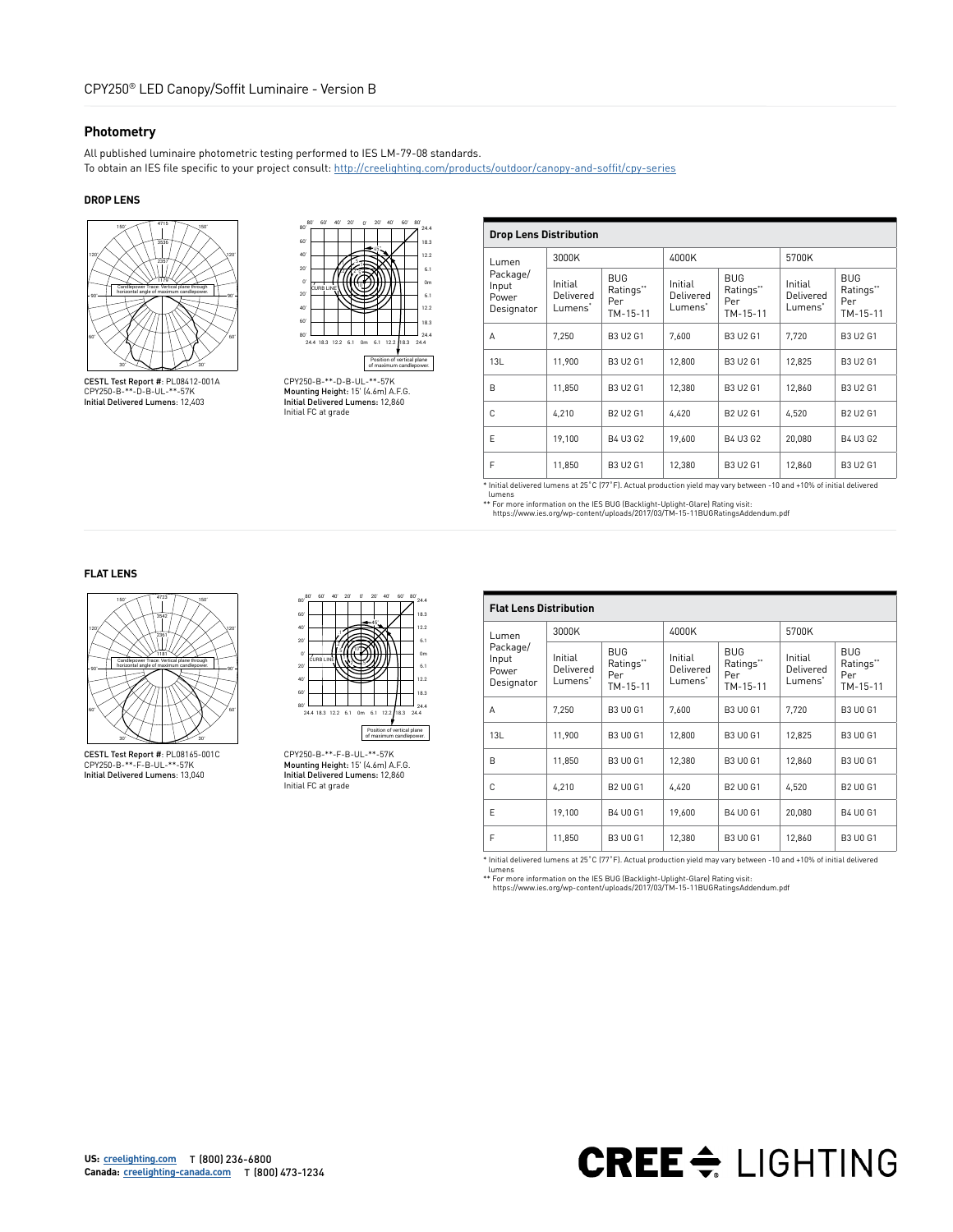#### **Photometry**

All published luminaire photometric testing performed to IES LM-79-08 standards. To obtain an IES file specific to your project consult: [http://creelighting.com/products/outdoor/canopy-and-soffit/cpy-series](https://www.creelighting.com/products/outdoor/canopy-and-soffit/cpy-series)

#### **DROP LENS**





CESTL Test Report #: PL08412-001A CPY250-B-\*\*-D-B-UL-\*\*-57K Initial Delivered Lumens: 12,403

CPY250-B-\*\*-D-B-UL-\*\*-57K Mounting Height: 15' (4.6m) A.F.G. Initial Delivered Lumens: 12,860 Initial FC at grade

| <b>Drop Lens Distribution</b>            |                                             |                                            |                                             |                                            |                                             |                                            |  |  |  |
|------------------------------------------|---------------------------------------------|--------------------------------------------|---------------------------------------------|--------------------------------------------|---------------------------------------------|--------------------------------------------|--|--|--|
| Lumen                                    | 3000K                                       |                                            | 4000K                                       |                                            | 5700K                                       |                                            |  |  |  |
| Package/<br>Input<br>Power<br>Designator | Initial<br>Delivered<br>Lumens <sup>*</sup> | <b>BUG</b><br>Ratings**<br>Per<br>TM-15-11 | Initial<br>Delivered<br>Lumens <sup>*</sup> | <b>BUG</b><br>Ratings**<br>Per<br>TM-15-11 | Initial<br>Delivered<br>Lumens <sup>*</sup> | <b>BUG</b><br>Ratings**<br>Per<br>TM-15-11 |  |  |  |
| Α                                        | 7,250                                       | <b>B3 U2 G1</b>                            | 7,600                                       | <b>B3 U2 G1</b>                            | 7,720                                       | B3 U2 G1                                   |  |  |  |
| 13L                                      | 11,900                                      | <b>B3 U2 G1</b>                            | 12,800                                      | <b>B3 U2 G1</b>                            | 12,825                                      | B3 U2 G1                                   |  |  |  |
| B                                        | 11,850                                      | <b>B3 U2 G1</b>                            | 12,380                                      | B3 U2 G1                                   | 12,860                                      | B3 U2 G1                                   |  |  |  |
| C                                        | 4,210                                       | B2 U2 G1                                   | 4,420                                       | B2 U2 G1                                   | 4,520                                       | B2 U2 G1                                   |  |  |  |
| E                                        | 19,100                                      | B4 U3 G2                                   | 19,600                                      | B4 U3 G2                                   | 20.080                                      | B4 U3 G2                                   |  |  |  |
| F                                        | 11,850                                      | <b>B3 U2 G1</b>                            | 12,380                                      | <b>B3 U2 G1</b>                            | 12,860                                      | B3 U2 G1                                   |  |  |  |

\* Initial delivered lumens at 25˚C (77˚F). Actual production yield may vary between -10 and +10% of initial delivered lumens

\*\* For more information on the IES BUG (Backlight-Uplight-Glare) Rating visit: https://www.ies.org/wp-content/uploads/2017/03/TM-15-11BUGRatingsAddendum.pdf

#### **FLAT LENS**



CESTL Test Report #: PL08165-001C CPY250-B-\*\*-F-B-UL-\*\*-57K Initial Delivered Lumens: 13,040



CPY250-B-\*\*-F-B-UL-\*\*-57K Mounting Height: 15' (4.6m) A.F.G. Initial Delivered Lumens: 12,860 Initial FC at grade

| <b>Flat Lens Distribution</b>            |                                 |                                            |                                 |                                            |                                 |                                            |  |  |  |
|------------------------------------------|---------------------------------|--------------------------------------------|---------------------------------|--------------------------------------------|---------------------------------|--------------------------------------------|--|--|--|
| Lumen                                    | 3000K                           |                                            | 4000K                           |                                            | 5700K                           |                                            |  |  |  |
| Package/<br>Input<br>Power<br>Designator | Initial<br>Delivered<br>Lumens* | <b>BUG</b><br>Ratings**<br>Per<br>TM-15-11 | Initial<br>Delivered<br>Lumens* | <b>BUG</b><br>Ratings**<br>Per<br>TM-15-11 | Initial<br>Delivered<br>Lumens* | <b>BUG</b><br>Ratings**<br>Per<br>TM-15-11 |  |  |  |
| A                                        | 7,250                           | <b>B3 U0 G1</b>                            | 7.600                           | <b>B3 U0 G1</b>                            | 7.720                           | <b>B3 U0 G1</b>                            |  |  |  |
| 13L                                      | 11,900                          | <b>B3 U0 G1</b>                            | 12,800                          | <b>B3 U0 G1</b>                            | 12,825                          | <b>B3 U0 G1</b>                            |  |  |  |
| B                                        | 11,850                          | <b>B3 U0 G1</b>                            | 12,380                          | <b>B3 U0 G1</b>                            | 12.860                          | <b>B3 U0 G1</b>                            |  |  |  |
| C                                        | 4,210                           | <b>B2 U0 G1</b>                            | 4,420                           | <b>B2 U0 G1</b>                            | 4,520                           | B2 U0 G1                                   |  |  |  |
| F                                        | 19,100                          | B4 U0 G1                                   | 19,600                          | B4 U0 G1                                   | 20,080                          | B4 U0 G1                                   |  |  |  |
| F                                        | 11,850                          | <b>B3 U0 G1</b>                            | 12,380                          | <b>B3 U0 G1</b>                            | 12,860                          | <b>B3 U0 G1</b>                            |  |  |  |

\* Initial delivered lumens at 25˚C (77˚F). Actual production yield may vary between -10 and +10% of initial delivered

lumens \*\* For more information on the IES BUG (Backlight-Uplight-Glare) Rating visit: https://www.ies.org/wp-content/uploads/2017/03/TM-15-11BUGRatingsAddendum.pdf